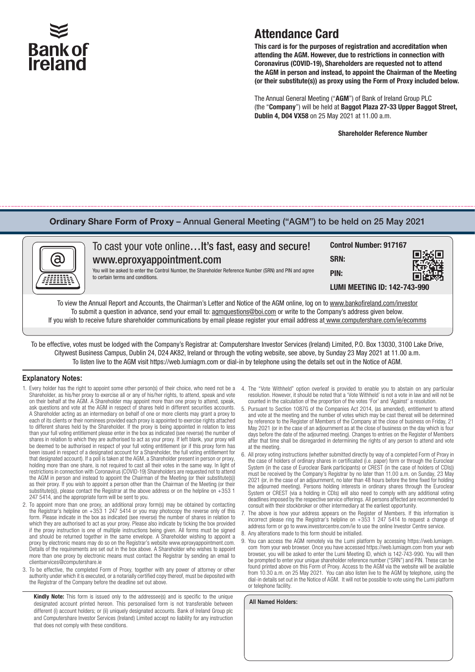# **Bank of Ireland**

## Attendance Card

This card is for the purposes of registration and accreditation when attending the AGM. However, due to restrictions in connection with Coronavirus (COVID-19), Shareholders are requested not to attend the AGM in person and instead, to appoint the Chairman of the Meeting (or their substitute(s)) as proxy using the Form of Proxy included below.

The Annual General Meeting ("AGM") of Bank of Ireland Group PLC (the "Company") will be held at Baggot Plaza 27-33 Upper Baggot Street, Dublin 4, D04 VX58 on 25 May 2021 at 11.00 a.m.

#### Shareholder Reference Number

#### Ordinary Share Form of Proxy – Annual General Meeting ("AGM") to be held on 25 May 2021



To be effective, votes must be lodged with the Company's Registrar at: Computershare Investor Services (Ireland) Limited, P.O. Box 13030, 3100 Lake Drive, Citywest Business Campus, Dublin 24, D24 AK82, Ireland or through the voting website, see above, by Sunday 23 May 2021 at 11.00 a.m. To listen live to the AGM visit https://web.lumiagm.com or dial-in by telephone using the details set out in the Notice of AGM.

#### **Explanatory Notes:**

- 1. Every holder has the right to appoint some other person(s) of their choice, who need not be a Shareholder, as his/her proxy to exercise all or any of his/her rights, to attend, speak and vote on their behalf at the AGM. A Shareholder may appoint more than one proxy to attend, speak, ask questions and vote at the AGM in respect of shares held in different securities accounts. A Shareholder acting as an intermediary on behalf of one or more clients may grant a proxy to each of its clients or their nominees provided each proxy is appointed to exercise rights attached to different shares held by the Shareholder. If the proxy is being appointed in relation to less than your full voting entitlement please enter in the box as indicated (see reverse) the number of shares in relation to which they are authorised to act as your proxy. If left blank, your proxy will be deemed to be authorised in respect of your full voting entitlement (or if this proxy form has been issued in respect of a designated account for a Shareholder, the full voting entitlement for that designated account). If a poll is taken at the AGM, a Shareholder present in person or proxy, holding more than one share, is not required to cast all their votes in the same way. In light of restrictions in connection with Coronavirus (COVID-19) Shareholders are requested not to attend the AGM in person and instead to appoint the Chairman of the Meeting (or their substitute(s)) as their proxy. If you wish to appoint a person other than the Chairman of the Meeting (or their substitute(s)), please contact the Registrar at the above address or on the helpline on +353 1 247 5414, and the appropriate form will be sent to you.
- 2. To appoint more than one proxy, an additional proxy form(s) may be obtained by contacting the Registrar's helpline on +353 1 247 5414 or you may photocopy the reverse only of this form. Please indicate in the box as indicated (see reverse) the number of shares in relation to which they are authorised to act as your proxy. Please also indicate by ticking the box provided if the proxy instruction is one of multiple instructions being given. All forms must be signed and should be returned together in the same envelope. A Shareholder wishing to appoint a proxy by electronic means may do so on the Registrar's website www.eproxyappointment.com. Details of the requirements are set out in the box above. A Shareholder who wishes to appoint more than one proxy by electronic means must contact the Registrar by sending an email to clientservices@computershare.ie
- 3. To be effective, the completed Form of Proxy, together with any power of attorney or other authority under which it is executed, or a notarially certified copy thereof, must be deposited with the Registrar of the Company before the deadline set out above.

Kindly Note: This form is issued only to the addressee(s) and is specific to the unique designated account printed hereon. This personalised form is not transferable between different (i) account holders; or (ii) uniquely designated accounts. Bank of Ireland Group plc and Computershare Investor Services (Ireland) Limited accept no liability for any instruction that does not comply with these conditions.

- 4. The "Vote Withheld" option overleaf is provided to enable you to abstain on any particular resolution. However, it should be noted that a 'Vote Withheld' is not a vote in law and will not be counted in the calculation of the proportion of the votes 'For' and 'Against' a resolution.
- 5. Pursuant to Section 1087G of the Companies Act 2014, (as amended), entitlement to attend and vote at the meeting and the number of votes which may be cast thereat will be determined by reference to the Register of Members of the Company at the close of business on Friday, 21 May 2021 (or in the case of an adjournment as at the close of business on the day which is four days before the date of the adjourned meeting). Changes to entries on the Register of Members after that time shall be disregarded in determining the rights of any person to attend and vote at the meeting.
- All proxy voting instructions (whether submitted directly by way of a completed Form of Proxy in the case of holders of ordinary shares in certificated (i.e. paper) form or through the Euroclear System (in the case of Euroclear Bank participants) or CREST (in the case of holders of CDIs)) must be received by the Company's Registrar by no later than 11.00 a.m. on Sunday, 23 May 2021 (or, in the case of an adjournment, no later than 48 hours before the time fixed for holding the adjourned meeting). Persons holding interests in ordinary shares through the Euroclear System or CREST (via a holding in CDIs) will also need to comply with any additional voting deadlines imposed by the respective service offerings. All persons affected are recommended to consult with their stockbroker or other intermediary at the earliest opportunity.
- The above is how your address appears on the Register of Members. If this information is incorrect please ring the Registrar's helpline on +353 1 247 5414 to request a change of address form or go to www.investorcentre.com/ie to use the online Investor Centre service.
- 8. Any alterations made to this form should be initialled.
- You can access the AGM remotely via the Lumi platform by accessing https://web.lumiagm. com from your web browser. Once you have accessed https://web.lumiagm.com from your web browser, you will be asked to enter the Lumi Meeting ID, which is 142-743-990. You will then be prompted to enter your unique shareholder reference number ("SRN") and PIN. These can be found printed above on this Form of Proxy. Access to the AGM via the website will be available from 10.30 a.m. on 25 May 2021. You can also listen live to the AGM by telephone, using the dial-in details set out in the Notice of AGM. It will not be possible to vote using the Lumi platform or telephone facility.

**All Named Holders:**